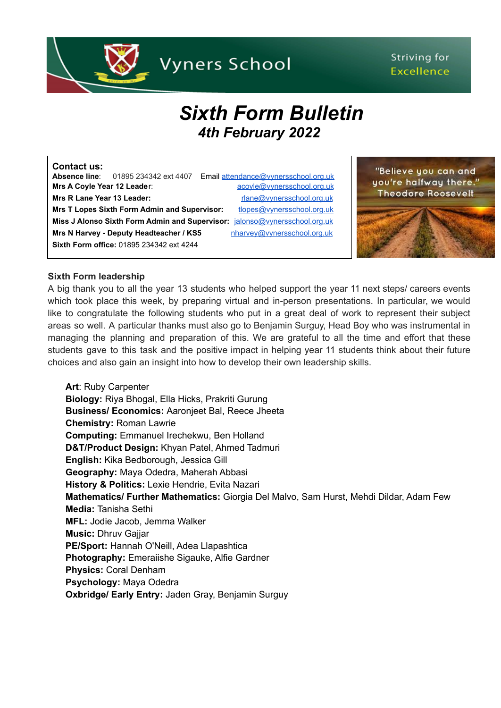

# Striving for **Excellence**

# *Sixth Form Bulletin 4th February 2022*

| <b>Contact us:</b>                                  |                                            |  |                                                                            |
|-----------------------------------------------------|--------------------------------------------|--|----------------------------------------------------------------------------|
|                                                     | <b>Absence line:</b> 01895 234342 ext 4407 |  | Email attendance@vynersschool.org.uk                                       |
| Mrs A Coyle Year 12 Leader:                         |                                            |  | acoyle@vynersschool.org.uk                                                 |
| Mrs R Lane Year 13 Leader:                          |                                            |  | rlane@vynersschool.org.uk                                                  |
| <b>Mrs T Lopes Sixth Form Admin and Supervisor:</b> |                                            |  | tlopes@vynersschool.org.uk                                                 |
|                                                     |                                            |  | Miss J Alonso Sixth Form Admin and Supervisor: jalonso@vynersschool.org.uk |
|                                                     | Mrs N Harvey - Deputy Headteacher / KS5    |  | nharvey@vynersschool.org.uk                                                |
|                                                     | Sixth Form office: 01895 234342 ext 4244   |  |                                                                            |

"Believe you can and you're halfway there." **Theodore Roosevelt** 

# **Sixth Form leadership**

A big thank you to all the year 13 students who helped support the year 11 next steps/ careers events which took place this week, by preparing virtual and in-person presentations. In particular, we would like to congratulate the following students who put in a great deal of work to represent their subject areas so well. A particular thanks must also go to Benjamin Surguy, Head Boy who was instrumental in managing the planning and preparation of this. We are grateful to all the time and effort that these students gave to this task and the positive impact in helping year 11 students think about their future choices and also gain an insight into how to develop their own leadership skills.

**Art**: Ruby Carpenter **Biology:** Riya Bhogal, Ella Hicks, Prakriti Gurung **Business/ Economics:** Aaronjeet Bal, Reece Jheeta **Chemistry:** Roman Lawrie **Computing:** Emmanuel Irechekwu, Ben Holland **D&T/Product Design:** Khyan Patel, Ahmed Tadmuri **English:** Kika Bedborough, Jessica Gill **Geography:** Maya Odedra, Maherah Abbasi **History & Politics:** Lexie Hendrie, Evita Nazari **Mathematics/ Further Mathematics:** Giorgia Del Malvo, Sam Hurst, Mehdi Dildar, Adam Few **Media:** Tanisha Sethi **MFL:** Jodie Jacob, Jemma Walker **Music:** Dhruv Gajjar **PE/Sport:** Hannah O'Neill, Adea Llapashtica **Photography:** Emeraiishe Sigauke, Alfie Gardner **Physics:** Coral Denham **Psychology:** Maya Odedra **Oxbridge/ Early Entry:** Jaden Gray, Benjamin Surguy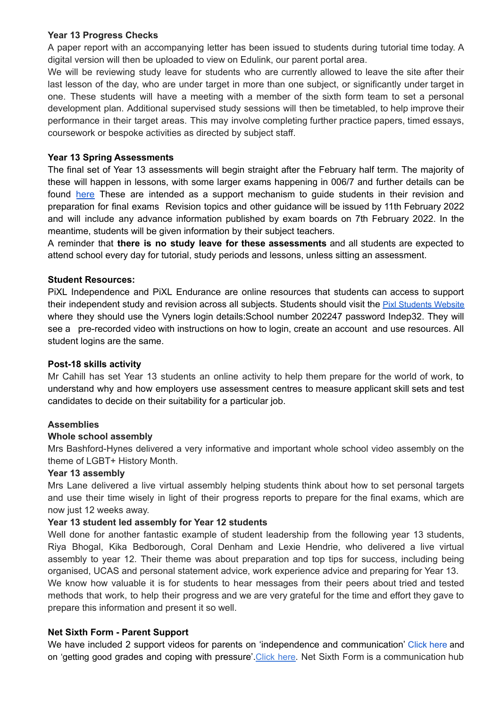# **Year 13 Progress Checks**

A paper report with an accompanying letter has been issued to students during tutorial time today. A digital version will then be uploaded to view on Edulink, our parent portal area.

We will be reviewing study leave for students who are currently allowed to leave the site after their last lesson of the day, who are under target in more than one subject, or significantly under target in one. These students will have a meeting with a member of the sixth form team to set a personal development plan. Additional supervised study sessions will then be timetabled, to help improve their performance in their target areas. This may involve completing further practice papers, timed essays, coursework or bespoke activities as directed by subject staff.

# **Year 13 Spring Assessments**

The final set of Year 13 assessments will begin straight after the February half term. The majority of these will happen in lessons, with some larger exams happening in 006/7 and further details can be found [here](https://www.vynersschool.org.uk/_site/data/files/users/91/files/2B585CB5AF8D8AD822FF6081F6E87700.pdf) These are intended as a support mechanism to guide students in their revision and preparation for final exams Revision topics and other guidance will be issued by 11th February 2022 and will include any advance information published by exam boards on 7th February 2022. In the meantime, students will be given information by their subject teachers.

A reminder that **there is no study leave for these assessments** and all students are expected to attend school every day for tutorial, study periods and lessons, unless sitting an assessment.

# **Student Resources:**

PiXL Independence and PiXL Endurance are online resources that students can access to support their independent study and revision across all subjects. [Students](https://students.pixl.org.uk/#!/login) should visit the **Pixl Students Website** where they should use the Vyners login details:School number 202247 password Indep32. They will see a pre-recorded video with instructions on how to login, create an account and use resources. All student logins are the same.

# **Post-18 skills activity**

Mr Cahill has set Year 13 students an online activity to help them prepare for the world of work, to understand why and how employers use assessment centres to measure applicant skill sets and test candidates to decide on their suitability for a particular job.

# **Assemblies**

# **Whole school assembly**

Mrs Bashford-Hynes delivered a very informative and important whole school video assembly on the theme of LGBT+ History Month.

# **Year 13 assembly**

Mrs Lane delivered a live virtual assembly helping students think about how to set personal targets and use their time wisely in light of their progress reports to prepare for the final exams, which are now just 12 weeks away.

# **Year 13 student led assembly for Year 12 students**

Well done for another fantastic example of student leadership from the following year 13 students, Riya Bhogal, Kika Bedborough, Coral Denham and Lexie Hendrie, who delivered a live virtual assembly to year 12. Their theme was about preparation and top tips for success, including being organised, UCAS and personal statement advice, work experience advice and preparing for Year 13.

We know how valuable it is for students to hear messages from their peers about tried and tested methods that work, to help their progress and we are very grateful for the time and effort they gave to prepare this information and present it so well.

# **Net Sixth Form - Parent Support**

We have included 2 support videos for parents on 'independence and communication' [Cl](https://netsxithform.us5.list-manage.com/track/click?u=8dedc07ce580600fe618f38c3&id=752f1a04bb&e=0021e76cfb)ick here and on 'getting good grades and coping with pressure'. [Click](https://netsxithform.us5.list-manage.com/track/click?u=8dedc07ce580600fe618f38c3&id=f393e0a2c1&e=0021e76cfb) here. Net Sixth Form is a communication hub